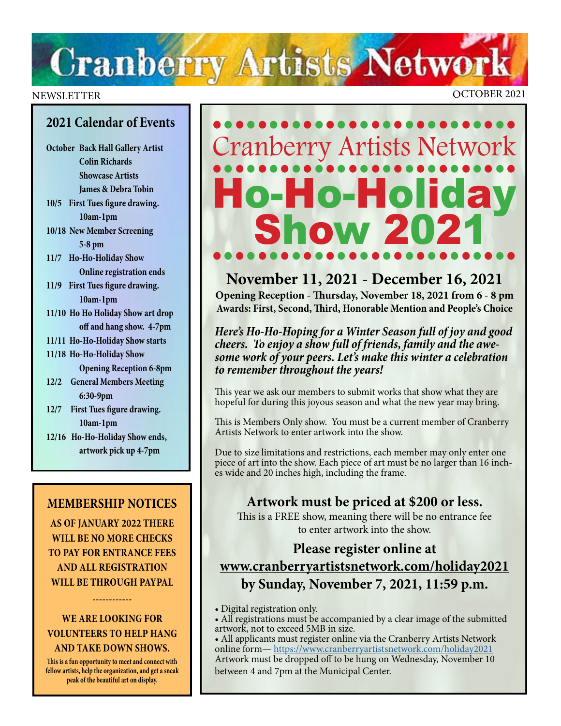# **Cranberry Artists Network**

#### NEWSLETTER OCTOBER 2021

#### **2021 Calendar of Events**

- **October Back Hall Gallery Artist Colin Richards Showcase Artists James & Debra Tobin**
- **10/5 First Tues figure drawing. 10am-1pm**
- **10/18 New Member Screening 5-8 pm**
- **11/7 Ho-Ho-Holiday Show Online registration ends**
- **11/9 First Tues figure drawing. 10am-1pm**
- **11/10 Ho Ho Holiday Show art drop off and hang show. 4-7pm**
- **11/11 Ho-Ho-Holiday Show starts**
- **11/18 Ho-Ho-Holiday Show Opening Reception 6-8pm**
- **12/2 General Members Meeting 6:30-9pm**
- **12/7 First Tues figure drawing. 10am-1pm**
- **12/16 Ho-Ho-Holiday Show ends, artwork pick up 4-7pm**

#### **MEMBERSHIP NOTICES**

**AS OF JANUARY 2022 THERE WILL BE NO MORE CHECKS TO PAY FOR ENTRANCE FEES AND ALL REGISTRATION WILL BE THROUGH PAYPAL** 

#### **WE ARE LOOKING FOR VOLUNTEERS TO HELP HANG AND TAKE DOWN SHOWS.**

**------------**

**This is a fun opportunity to meet and connect with fellow artists, help the organization, and get a sneak peak of the beautiful art on display.** 

## ••••••••••••••••••••••••••• Cranberry Artists Network •••••••••••••••••••••••••••• Ho-Holiday<br>Show 2021 •••••••••••••••••••••••••••

#### **November 11, 2021 - December 16, 2021**

**Opening Reception - Thursday, November 18, 2021 from 6 - 8 pm Awards: First, Second, Third, Honorable Mention and People's Choice**

*Here's Ho-Ho-Hoping for a Winter Season full of joy and good cheers. To enjoy a show full of friends, family and the awe some work of your peers. Let's make this winter a celebration to remember throughout the years!*

This year we ask our members to submit works that show what they are hopeful for during this joyous season and what the new year may bring.

This is Members Only show. You must be a current member of Cranberry Artists Network to enter artwork into the show.

Due to size limitations and restrictions, each member may only enter one piece of art into the show. Each piece of art must be no larger than 16 inches wide and 20 inches high, including the frame.

#### **Artwork must be priced at \$200 or less.**

This is a FREE show, meaning there will be no entrance fee to enter artwork into the show.

#### **Please register online at [www.cranberryartistsnetwork.com/holiday2021](http://www.cranberryartistsnetwork.com/holiday2021) by Sunday, November 7, 2021, 11:59 p.m.**

- Digital registration only.
- All registrations must be accompanied by a clear image of the submitted artwork, not to exceed 5MB in size.

• All applicants must register online via the Cranberry Artists Network online form— https://www.cranberryartistsnetwork.com/holiday2021 Artwork must [be dropped off to be hung on Wednesday, November 10](https://www.cranberryartistsnetwork.com/holiday2021) between 4 and 7pm at the Municipal Center.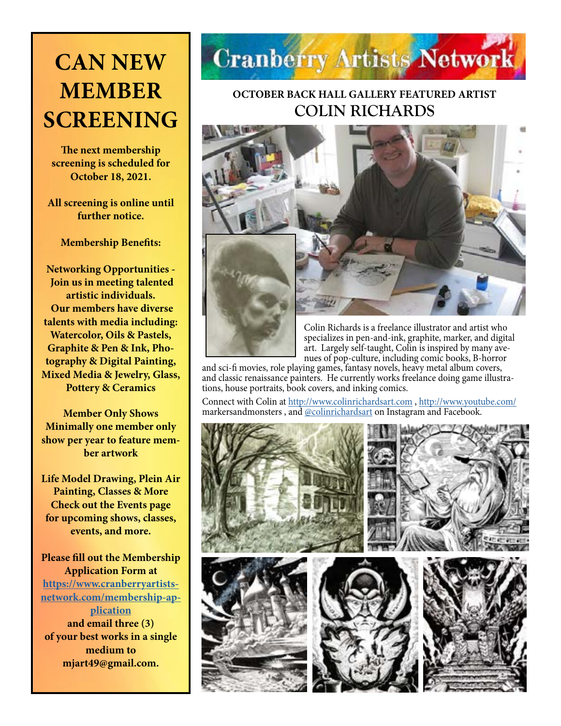### **CAN NEW MEMBER SCREENING**

**The next membership screening is scheduled for October 18, 2021.** 

**All screening is online until further notice.** 

**Membership Benefits:** 

**Networking Opportunities - Join us in meeting talented artistic individuals. Our members have diverse talents with media including: Watercolor, Oils & Pastels, Graphite & Pen & Ink, Photography & Digital Painting, Mixed Media & Jewelry, Glass, Pottery & Ceramics**

**Member Only Shows Minimally one member only show per year to feature member artwork**

**Life Model Drawing, Plein Air Painting, Classes & More Check out the Events page for upcoming shows, classes, events, and more.**

**Please fill out the Membership Application Form at [https://www.cranberryartists](https://www.cranberryartistsnetwork.com/membership-application)[network.com/membership-ap](https://www.cranberryartistsnetwork.com/membership-application)[plication](https://www.cranberryartistsnetwork.com/membership-application) and email three (3) of your best works in a single medium to mjart49@gmail.com.** 



#### **OCTOBER BACK HALL GALLERY FEATURED ARTIST COLIN RICHARDS**



Colin Richards is a freelance illustrator and artist who specializes in pen-and-ink, graphite, marker, and digital art. Largely self-taught, Colin is inspired by many avenues of pop-culture, including comic books, B-horror

and sci-fi movies, role playing games, fantasy novels, heavy metal album covers, and classic renaissance painters. He currently works freelance doing game illustrations, house portraits, book covers, and inking comics.

Connect with Colin at <http://www.colinrichardsart.com> , [http://www.youtube.com/](http://www.youtube.com/markersandmonsters) markersandmonsters , and [@colinrichardsart](http://@colinrichardsart) on Instagram and Facebook.

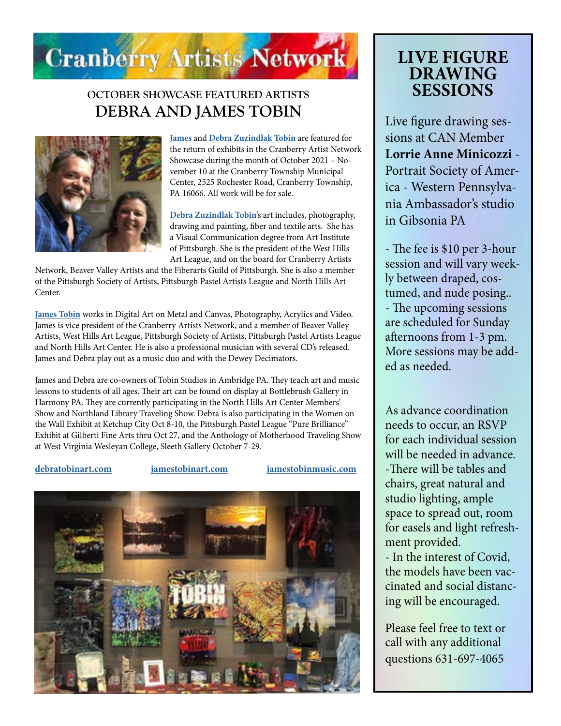

#### **OCTOBER SHOWCASE FEATURED ARTISTS DEBRA AND JAMES TOBIN**



**[James](http://jamestobinart.com)** and **[Debra Zuzindlak Tobin](http://debratobinart.com)** are featured for the return of exhibits in the Cranberry Artist Network Showcase during the month of October 2021 – November 10 at the Cranberry Township Municipal Center, 2525 Rochester Road, Cranberry Township, PA 16066. All work will be for sale.

**[Debra Zuzindlak Tobin](http://debratobinart.com)**'s art includes, photography, drawing and painting, fiber and textile arts. She has a Visual Communication degree from Art Institute of Pittsburgh. She is the president of the West Hills Art League, and on the board for Cranberry Artists

Network, Beaver Valley Artists and the Fiberarts Guild of Pittsburgh. She is also a member of the Pittsburgh Society of Artists, Pittsburgh Pastel Artists League and North Hills Art Center.

**[James Tobin](http://jamestobinart.com)** works in Digital Art on Metal and Canvas, Photography, Acrylics and Video. James is vice president of the Cranberry Artists Network, and a member of Beaver Valley Artists, West Hills Art League, Pittsburgh Society of Artists, Pittsburgh Pastel Artists League and North Hills Art Center. He is also a professional musician with several CD's released. James and Debra play out as a music duo and with the Dewey Decimators.

James and Debra are co-owners of Tobin Studios in Ambridge PA. They teach art and music lessons to students of all ages. Their art can be found on display at Bottlebrush Gallery in Harmony PA. They are currently participating in the North Hills Art Center Members' Show and Northland Library Traveling Show. Debra is also participating in the Women on the Wall Exhibit at Ketchup City Oct 8-10, the Pittsburgh Pastel League "Pure Brilliance" Exhibit at Gilberti Fine Arts thru Oct 27, and the Anthology of Motherhood Traveling Show at West Virginia Wesleyan College**,** Sleeth Gallery October 7-29.

**[debratobinart.com](http://debratobinart.com) [jamestobinart.com](http://jamestobinart.com) [jamestobinmusic.com](http://jamestobinmusic.com)**



### **LIVE FIGURE DRAWING SESSIONS**

Live figure drawing sessions at CAN Member **Lorrie Anne Minicozzi** - Portrait Society of America - Western Pennsylvania Ambassador's studio in Gibsonia PA

- The fee is \$10 per 3-hour session and will vary weekly between draped, costumed, and nude posing.. - The upcoming sessions are scheduled for Sunday afternoons from 1-3 pm. More sessions may be added as needed.

As advance coordination needs to occur, an RSVP for each individual session will be needed in advance. -There will be tables and chairs, great natural and studio lighting, ample space to spread out, room for easels and light refreshment provided.

- In the interest of Covid, the models have been vaccinated and social distancing will be encouraged.

Please feel free to text or call with any additional questions 631-697-4065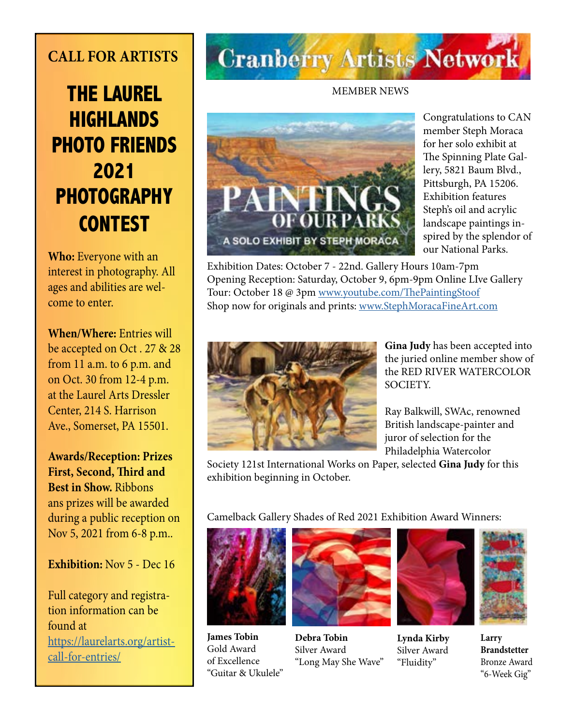### **CALL FOR ARTISTS**

### **THE LAUREL HIGHLANDS PHOTO FRIENDS 2021 PHOTOGRAPHY CONTEST**

**Who:** Everyone with an interest in photography. All ages and abilities are welcome to enter.

**When/Where:** Entries will be accepted on Oct . 27 & 28 from 11 a.m. to 6 p.m. and on Oct. 30 from 12-4 p.m. at the Laurel Arts Dressler Center, 214 S. Harrison Ave., Somerset, PA 15501.

**Awards/Reception: Prizes First, Second, Third and Best in Show.** Ribbons ans prizes will be awarded during a public reception on Nov 5, 2021 from 6-8 p.m..

#### **Exhibition:** Nov 5 - Dec 16

Full category and registration information can be found at [https://laurelarts.org/artist](https://laurelarts.org/artist-call-for-entries/)[call-for-entries/](https://laurelarts.org/artist-call-for-entries/)

# **Cranberry Artists Network**

#### MEMBER NEWS



Congratulations to CAN member Steph Moraca for her solo exhibit at The Spinning Plate Gallery, 5821 Baum Blvd., Pittsburgh, PA 15206. Exhibition features Steph's oil and acrylic landscape paintings inspired by the splendor of our National Parks.

Exhibition Dates: October 7 - 22nd. Gallery Hours 10am-7pm Opening Reception: Saturday, October 9, 6pm-9pm Online LIve Gallery Tour: October 18 @ 3pm [www.youtube.com/ThePaintingStoof](http://www.youtube.com/ThePaintingStoof) Shop now for originals and prints: [www.StephMoracaFineArt.com](http://www.StephMoracaFineArt.com)



**Gina Judy** has been accepted into the juried online member show of the RED RIVER WATERCOLOR SOCIETY.

Ray Balkwill, SWAc, renowned British landscape-painter and juror of selection for the Philadelphia Watercolor

Society 121st International Works on Paper, selected **Gina Judy** for this exhibition beginning in October.

Camelback Gallery Shades of Red 2021 Exhibition Award Winners:



**James Tobin**  Gold Award of Excellence "Guitar & Ukulele"



**Debra Tobin** Silver Award "Long May She Wave"



**Lynda Kirby** Silver Award "Fluidity"



**Larry Brandstetter** Bronze Award "6-Week Gig"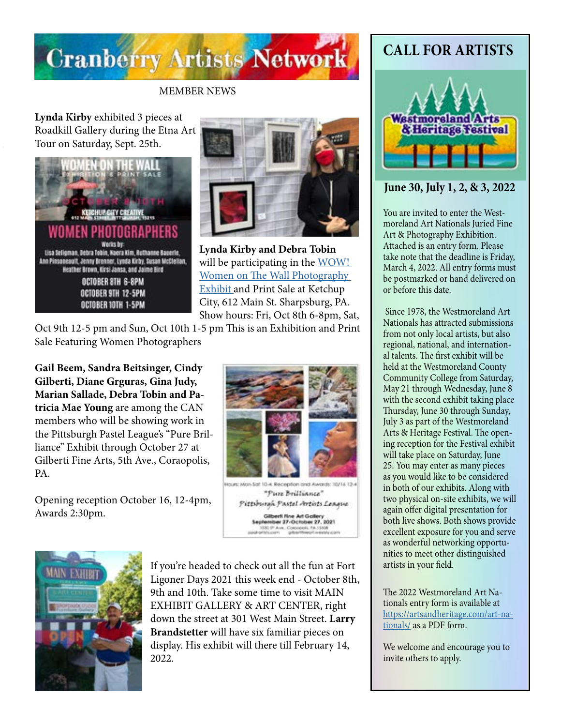

#### MEMBER NEWS

**Lynda Kirby** exhibited 3 pieces at Roadkill Gallery during the Etna Art Tour on Saturday, Sept. 25th.





**Lynda Kirby and Debra Tobin** will be participating in the WOW! Women on The Wall Photography Exhibit and Print Sale at Ketchup City, 612 Main St. Sharpsburg, PA. Show hours: Fri, Oct 8th 6-8pm, Sat,

Oct 9th 12-5 pm and Sun, Oct 10th 1-5 pm This is an Exhibition and Print Sale Featuring Women Photographers

**Gail Beem, Sandra Beitsinger, Cindy Gilberti, Diane Grguras, Gina Judy, Marian Sallade, Debra Tobin and Patricia Mae Young** are among the CAN members who will be showing work in the Pittsburgh Pastel League's "Pure Brilliance" Exhibit through October 27 at Gilberti Fine Arts, 5th Ave., Coraopolis, PA.

Opening reception October 16, 12-4pm, Awards 2:30pm.



Sunt Mon-Sat 10-4. Reception and Awards: 10/14 12-"Pure Brilliance" Pittsburgh Pastel Artists League Gilberti fine Art Gallery<br>tember 27-October 27, 2021 **JOURN FA 15100** 



If you're headed to check out all the fun at Fort Ligoner Days 2021 this week end - October 8th, 9th and 10th. Take some time to visit MAIN EXHIBIT GALLERY & ART CENTER, right down the street at 301 West Main Street. **Larry Brandstetter** will have six familiar pieces on display. His exhibit will there till February 14, 2022.

### **CALL FOR ARTISTS**



#### **June 30, July 1, 2, & 3, 2022**

You are invited to enter the Westmoreland Art Nationals Juried Fine Art & Photography Exhibition. Attached is an entry form. Please take note that the deadline is Friday, March 4, 2022. All entry forms must be postmarked or hand delivered on or before this date.

 Since 1978, the Westmoreland Art Nationals has attracted submissions from not only local artists, but also regional, national, and international talents. The first exhibit will be held at the Westmoreland County Community College from Saturday, May 21 through Wednesday, June 8 with the second exhibit taking place Thursday, June 30 through Sunday, July 3 as part of the Westmoreland Arts & Heritage Festival. The opening reception for the Festival exhibit will take place on Saturday, June 25. You may enter as many pieces as you would like to be considered in both of our exhibits. Along with two physical on-site exhibits, we will again offer digital presentation for both live shows. Both shows provide excellent exposure for you and serve as wonderful networking opportunities to meet other distinguished artists in your field.

The 2022 Westmoreland Art Nationals entry form is available at https://artsandheritage.com/art-nationals/ as a PDF form.

We welcome and encourage you to invite others to apply.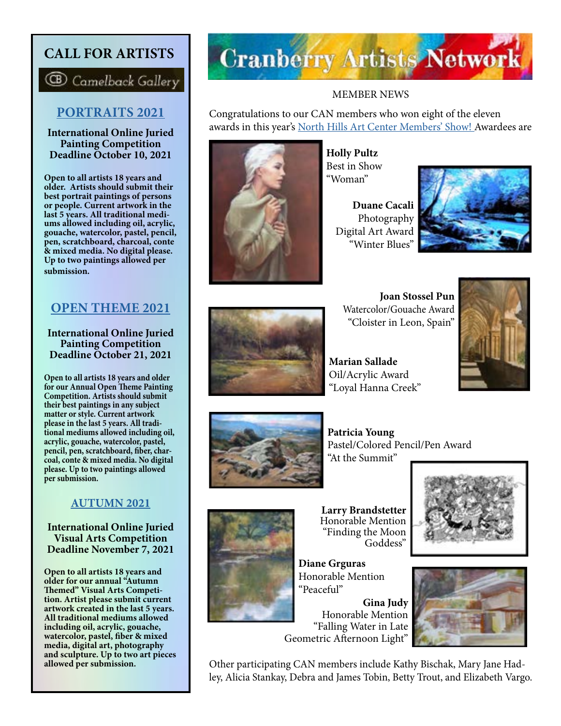#### **CALL FOR ARTISTS**

**CB** Camelback Gallery

#### **[PORTRAITS 2021](https://www.camelbackgallery.com/portraits2021competition)**

**International Online Juried Painting Competition Deadline October 10, 2021**

**Open to all artists 18 years and older. Artists should submit their best portrait paintings of persons or people. Current artwork in the last 5 years. All traditional mediums allowed including oil, acrylic, gouache, watercolor, pastel, pencil, pen, scratchboard, charcoal, conte & mixed media. No digital please. Up to two paintings allowed per submission.**

#### **[OPEN THEME 2021](https://www.camelbackgallery.com/opentheme2021competition)**

**International Online Juried Painting Competition Deadline October 21, 2021**

**Open to all artists 18 years and older for our Annual Open Theme Painting Competition. Artists should submit their best paintings in any subject matter or style. Current artwork please in the last 5 years. All tradi tional mediums allowed including oil, acrylic, gouache, watercolor, pastel, pencil, pen, scratchboard, fiber, charcoal, conte & mixed media. No digital please. Up to two paintings allowed per submission.**

#### **[AUTUMN 2021](https://www.camelbackgallery.com/autumn2021)**

**International Online Juried Visual Arts Competition Deadline November 7, 2021**

**Open to all artists 18 years and older for our annual "Autumn Themed" Visual Arts Competi- tion. Artist please submit current artwork created in the last 5 years. All traditional mediums allowed including oil, acrylic, gouache, watercolor, pastel, fiber & mixed media, digital art, photography and sculpture. Up to two art pieces allowed per submission.** 

# **Cranberry Artists Network**

#### MEMBER NEWS

Congratulations to our CAN members who won eight of the eleven awards in this year's [North Hills Art Center Members' Show! A](https://www.youtube.com/watch?v=u8SQpKW05aQ)wardees are



**Holly Pultz** Best in Show "Woman"

**Duane Cacali**  Photography Digital Art Award "Winter Blues"





**Joan Stossel Pun** Watercolor/Gouache Award "Cloister in Leon, Spain"

**Marian Sallade**  Oil/Acrylic Award "Loyal Hanna Creek"





**Patricia Young** Pastel/Colored Pencil/Pen Award "At the Summit"



**Larry Brandstetter**  Honorable Mention "Finding the Moon Goddess"

**Diane Grguras**  Honorable Mention "Peaceful"

**Gina Judy** Honorable Mention "Falling Water in Late Geometric Afternoon Light"





Other participating CAN members include Kathy Bischak, Mary Jane Hadley, Alicia Stankay, Debra and James Tobin, Betty Trout, and Elizabeth Vargo.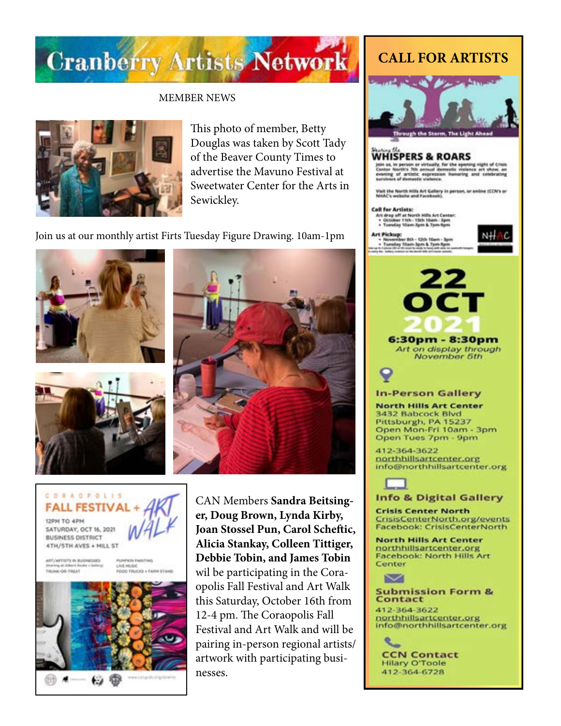# **Cranberry Artists Network**

#### MEMBER NEWS



This photo of member, Betty Douglas was taken by Scott Tady of the Beaver County Times to advertise the Mavuno Festival at Sweetwater Center for the Arts in Sewickley.

Join us at our monthly artist Firts Tuesday Figure Drawing. 10am-1pm







**CORAOPOLIS FALL FESTI** 12PM TO 4PM SATURDAY, OCT 16, 2021 **BUSINESS DISTRICT** 4TH/5TH AVES + MILL ST ART/ARTISTS IN WASHINGTON Falls Paintings Disning of Dilen't St.<br>TRUNK-OR-TREAT

UNE HUGH.<br>FÓDD TRUCKS + FARM STAND



CAN Members **Sandra Beitsinger, Doug Brown, Lynda Kirby, Joan Stossel Pun, Carol Scheftic, Alicia Stankay, Colleen Tittiger, Debbie Tobin, and James Tobin** wil be participating in the Coraopolis Fall Festival and Art Walk this Saturday, October 16th from 12-4 pm. The Coraopolis Fall Festival and Art Walk and will be pairing in-person regional artists/ artwork with participating businesses.

#### **CALL FOR ARTISTS**



#### **WHISPERS & ROARS**

on us, in person or virtually, for the opening right of Crisis<br>enter North's 7th annual domestic violence art show, an<br>vening of artistic expression honoring and colebrating<br>univers of domestic violence.

.<br>Visit the North Hills Art Gallery in person, or anime (CCN's or<br>NMAC's website and Facebook).

#### **Call for Artists:**

Art drop off at North Hills Art Center:<br>• October 11th - 11th 10am - Jpm<br>• Tuesday 10am-3pm & 7pm figm

Art Pickup:<br>November 8th - 12th 10th<br>Tuesday Stam-3pm & 7p - Neverslee Bth - Lith 10a<br>- Tuesday Mam-Ipm & 7pm<br>- Tuesday Mam-Ipm & 7pm





6:30pm - 8:30pm Art on display through November 5th



#### **In-Person Gallery**

**North Hills Art Center** 3432 Babcock Blvd Pittsburgh, PA 15237<br>Open Mon-Fri 10am - 3pm Open Tues 7pm - 9pm

412-364-3622 northhillsartcenter.org info@northhillsartcenter.org



#### **Info & Digital Gallery**

**Crisis Center North** CrisisCenterNorth.org/events Facebook: CrisisCenterNorth

**North Hills Art Center** northhillsartcenter.org **Facebook: North Hills Art** Center



#### **Submission Form & Contact**

412-364-3622 northhillsartcenter.org info@northhillsartcenter.org

╰ **CCN Contact Hilary O'Toole** 412-364-6728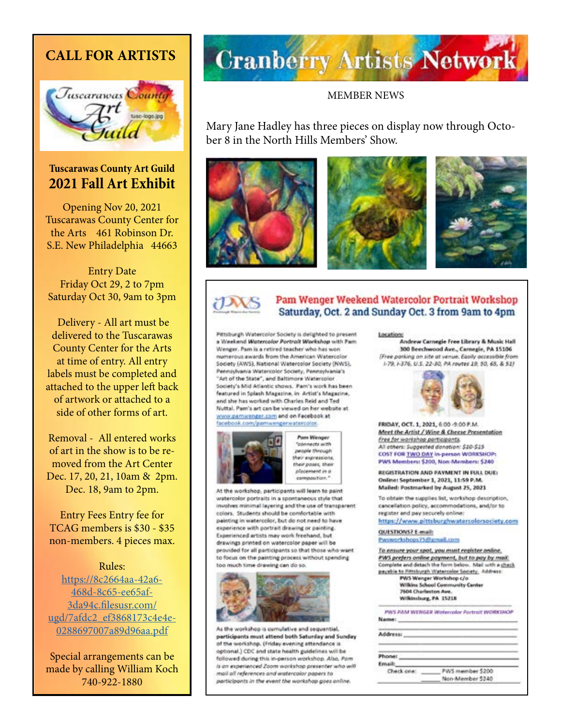#### **CALL FOR ARTISTS**



#### **Tuscarawas County Art Guild 2021 Fall Art Exhibit**

Opening Nov 20, 2021 Tuscarawas County Center for the Arts 461 Robinson Dr. S.E. New Philadelphia 44663

Entry Date Friday Oct 29, 2 to 7pm Saturday Oct 30, 9am to 3pm

 Delivery - All art must be delivered to the Tuscarawas County Center for the Arts at time of entry. All entry labels must be completed and attached to the upper left back of artwork or attached to a side of other forms of art.

Removal - All entered works of art in the show is to be removed from the Art Center Dec. 17, 20, 21, 10am & 2pm. Dec. 18, 9am to 2pm.

Entry Fees Entry fee for TCAG members is \$30 - \$35 non-members. 4 pieces max.

Rules:

[https://8c2664aa-42a6-](https://8c2664aa-42a6-468d-8c65-ee65af3da94c.filesusr.com/ugd/7afdc2_ef3868173c4e4e0288697007a89d96aa.pdf) [468d-8c65-ee65af-](https://8c2664aa-42a6-468d-8c65-ee65af3da94c.filesusr.com/ugd/7afdc2_ef3868173c4e4e0288697007a89d96aa.pdf)[3da94c.filesusr.com/](https://8c2664aa-42a6-468d-8c65-ee65af3da94c.filesusr.com/ugd/7afdc2_ef3868173c4e4e0288697007a89d96aa.pdf) [ugd/7afdc2\\_ef3868173c4e4e-](https://8c2664aa-42a6-468d-8c65-ee65af3da94c.filesusr.com/ugd/7afdc2_ef3868173c4e4e0288697007a89d96aa.pdf)[0288697007a89d96aa.pdf](https://8c2664aa-42a6-468d-8c65-ee65af3da94c.filesusr.com/ugd/7afdc2_ef3868173c4e4e0288697007a89d96aa.pdf)

Special arrangements can be made by calling William Koch 740-922-1880

# **Cranberry Artists Network**

#### MEMBER NEWS

Mary Jane Hadley has three pieces on display now through October 8 in the North Hills Members' Show.





#### Pam Wenger Weekend Watercolor Portrait Workshop Saturday, Oct. 2 and Sunday Oct. 3 from 9am to 4pm

Pittsburgh Watercolor Society is delighted to present a Weekend Watercolor Portrait Workshop with Pam Wenger, Pam is a retired teacher who has won numerous awards from the American Watercolor Society (AWS), National Watercolor Society (NWS), Perinsuluania Waterrolor Society, Pennsylvania's "Art of the State", and Baltimore Watercolor Society's Mid Atlantic shows. Pam's work has been featured in Splash Magazine, in Artist's Magazine, and she has worked with Charles Reid and Ted Nuttal. Pam's art can be viewed on her website at yome:pamwenger.com and on Facebook at facebook.com/pamiwengerwatercolor.



**Pars Wenger Connects with** people through their expressions. their pases, their placement in a compasition."

At the workshop, participants will learn to paint watercolor portraits in a spontaneous style that involves minimal layering and the use of transparent colors. Students should be comfortable with painting in watercolor, but do not need to have experience with portrait drawing or painting. Experienced artists may work freehand, but drawings printed on watercolor paper will be provided for all participants so that those who want to focus on the painting process without spending too much time drawing can do so.



As the workshop is cumulative and sequential. participants must attend both Saturday and Sunday of the workshop. (Friday evening attendance is optional.) CDC and state health guidelines will be followed during this in-person workshop. Also, Pam is an experienced Zoom workshop presenter who will mail all references and watercolor papers to participants in the event the workshop goes online.

#### Locations

Andrew Carnegie Free Library & Music Hall 300 Beechwood Ave., Carnegie, PA 15106 (Free parking on site at venue, Fasily accessible from 1-79, 1-376, U.S. 22-30, PA routes 19, 50, 65, & 511



FRIDAY, OCT. 1, 2021, 6:00-9:00 P.M. Meet the Artist / Wine & Cheese Presentation Free for workshop porticipants. All others: Suggested donation: \$10-\$15. COST FOR TWO DAY in-person WORKSHOP: PWS Members: \$200, Non-Members: \$240

REGISTRATION AND PAYMENT IN FULL DUE: Online: September 1, 2021, 11:59 P.M. Mailed: Postmarked by August 25, 2021

To obtain the supplies list, workshop description, cancellation policy, accommodations, and/or to register and pay securely online:

https://www.pittsburghwatercolorsociety.com

QUESTIONS? E-mail: Pwsworkshops75@gmail.com

To ensure your spot, you must register online, PWS prefers online payment, but to pay by mail. Complete and detach the form below. Mail with a check payable to Pittsburgh Watercolor Society, Address:

**PWS Wenger Workshop c/o Wilkins School Community Center** 7604 Charleston Ave. Wilkinsburg, PA 15218

PWS PAM WENGER Wotevrolar Portrait WORKSNOP Name:

| PWS member \$200<br>Non-Member 5240 |
|-------------------------------------|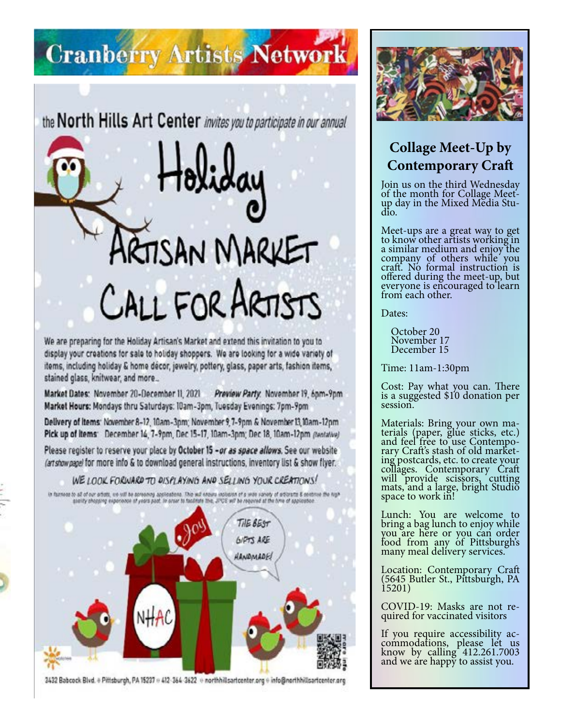## **Cranberry Artists Network**

the North Hills Art Center invites you to participate in our annual

# **TISAN MARKET** CALL FOR ARTISTS

We are preparing for the Holiday Artisan's Market and extend this invitation to you to display your creations for sale to holiday shoppers. We are looking for a wide variety of items, including holiday & home decor, jewelry, pottery, glass, paper arts, fashion items, stained glass, knitwear, and more...

Market Dates: November 20-December 11, 2021 Preview Party: November 19, 6pm-9pm Market Hours: Mondays thru Saturdays: 10am-3pm, Tuesday Evenings: 7pm-9pm

Delivery of items: November 8-12, 10am-3pm; November 9, 7-9pm & November 13, 10am-12pm Pick up of items: December 14, 7-9pm, Dec 15-17, 10am-3pm; Dec 18, 10am-12pm (tentative)

Please register to reserve your place by October 15 - or as space allows. See our website (artshowpage) for more info & to download general instructions, inventory list & show flyer.

#### WE LOOK FORWARD TO DISPLAYING AND SELLING YOUR CREATIONS!

is favored to be other attack, on will be acrossed applications. The sub-based exploses of a twice a profession of a factorial & sentence the high-<br>space approaches the state of paint and the state of the JPDE and he compa



2432 Babcock Blvd. + Pittsburgh, PA 15237 + 412-364-3622 + northhillsartcenter.org + info@nerthhillsartcenter.org



### **Collage Meet-Up by Contemporary Craft**

Join us on the third Wednesday of the month for Collage Meetup day in the Mixed Media Stu- dio.

Meet-ups are a great way to get to know other artists working in a similar medium and enjoy the company of others while you craft. No formal instruction is offered during the meet-up, but everyone is encouraged to learn from each other.

Dates:

 October 20 November 17 December 15

Time: 11am-1:30pm

Cost: Pay what you can. There is a suggested \$10 donation per session.

Materials: Bring your own ma- terials (paper, glue sticks, etc.) and feel free to use Contempo-<br>rary Craft's stash of old market-<br>ing postcards, etc. to create your collages. Contemporary Craft will provide scissors, cutting mats, and a large, bright Studio space to work in!

Lunch: You are welcome to bring a bag lunch to enjoy while you are here or you can order food from any of Pittsburgh's many meal delivery services.

Location: Contemporary Craft (5645 Butler St., Pittsburgh, PA 15201)

COVID-19: Masks are not re- quired for vaccinated visitors

If you require accessibility ac- commodations, please let us know by calling 412.261.7003 and we are happy to assist you.